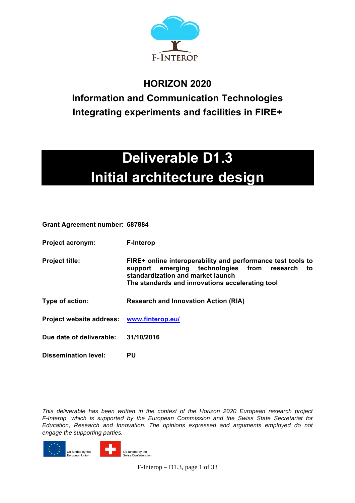

### **HORIZON 2020**

**Information and Communication Technologies Integrating experiments and facilities in FIRE+**

# **Deliverable D1.3 Initial architecture design**

**Grant Agreement number: 687884**

| <b>Project acronym:</b>                   | <b>F-Interop</b>                                                                                                                                                                                         |  |  |
|-------------------------------------------|----------------------------------------------------------------------------------------------------------------------------------------------------------------------------------------------------------|--|--|
| <b>Project title:</b>                     | FIRE+ online interoperability and performance test tools to<br>support emerging technologies from research<br>to<br>standardization and market launch<br>The standards and innovations accelerating tool |  |  |
| Type of action:                           | <b>Research and Innovation Action (RIA)</b>                                                                                                                                                              |  |  |
| Project website address: www.finterop.eu/ |                                                                                                                                                                                                          |  |  |
| Due date of deliverable:                  | 31/10/2016                                                                                                                                                                                               |  |  |
| Dissemination level:                      | <b>PU</b>                                                                                                                                                                                                |  |  |

*This deliverable has been written in the context of the Horizon 2020 European research project F-Interop, which is supported by the European Commission and the Swiss State Secretariat for Education, Research and Innovation. The opinions expressed and arguments employed do not engage the supporting parties.*



F-Interop – D1.3, page 1 of 33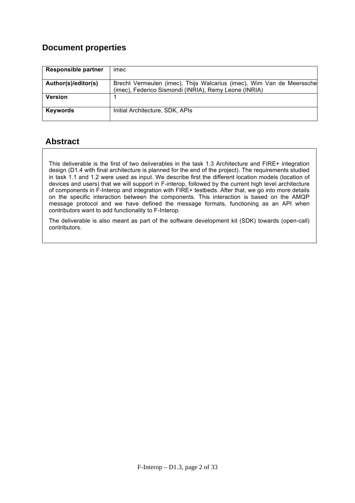### **Document properties**

| <b>Responsible partner</b> | imec                                                                  |
|----------------------------|-----------------------------------------------------------------------|
|                            |                                                                       |
| Author(s)/editor(s)        | Brecht Vermeulen (imec), Thijs Walcarius (imec), Wim Van de Meerssche |
|                            | (imec), Federico Sismondi (INRIA), Remy Leone (INRIA)                 |
| <b>Version</b>             |                                                                       |
|                            |                                                                       |
| <b>Keywords</b>            | Initial Architecture, SDK, APIs                                       |
|                            |                                                                       |

### **Abstract**

This deliverable is the first of two deliverables in the task 1.3 Architecture and FIRE+ integration design (D1.4 with final architecture is planned for the end of the project). The requirements studied in task 1.1 and 1.2 were used as input. We describe first the different location models (location of devices and users) that we will support in F-interop, followed by the current high level architecture of components in F-Interop and integration with FIRE+ testbeds. After that, we go into more details on the specific interaction between the components. This interaction is based on the AMQP message protocol and we have defined the message formats, functioning as an API when contributors want to add functionality to F-Interop.

The deliverable is also meant as part of the software development kit (SDK) towards (open-call) contributors.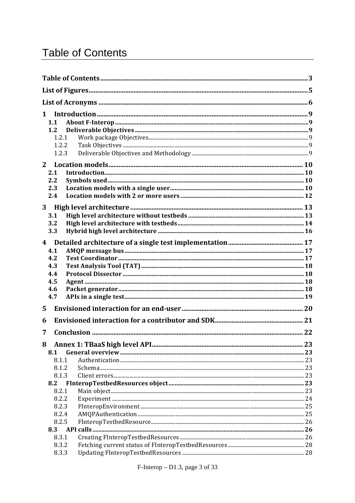## **Table of Contents**

| $\mathbf 1$<br>1.1<br>1.2<br>1.2.1<br>1.2.2<br>1.2.3            |  |
|-----------------------------------------------------------------|--|
| $2^{\circ}$                                                     |  |
| 2.1<br>2.2<br>2.3<br>2.4                                        |  |
| 3<br>3.1<br>3.2<br>3.3                                          |  |
| 4 <sup>1</sup><br>4.1<br>4.2<br>4.3<br>4.4<br>4.5<br>4.6<br>4.7 |  |
| 5                                                               |  |
| 6                                                               |  |
| 7                                                               |  |
| 8<br>8.1<br>8.1.1<br>8.1.2<br>8.1.3<br>8.2                      |  |
| 8.2.1                                                           |  |
| 8.2.2<br>8.2.3<br>8.2.4<br>8.2.5<br>8.3<br>8.3.1                |  |
| 8.3.2                                                           |  |
| 8.3.3                                                           |  |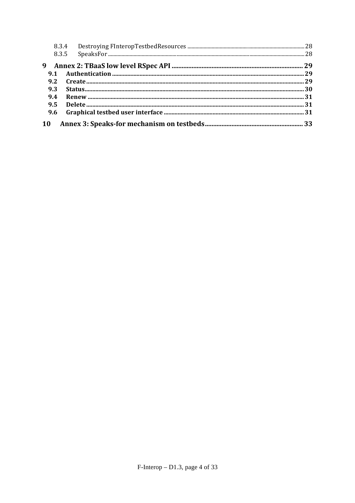|           | 8.3.4 |  |
|-----------|-------|--|
|           | 8.3.5 |  |
| 9         |       |  |
| 9.1       |       |  |
| 9.2       |       |  |
| 9.3       |       |  |
| 9.4       |       |  |
| 9.5       |       |  |
| 9.6       |       |  |
| <b>10</b> |       |  |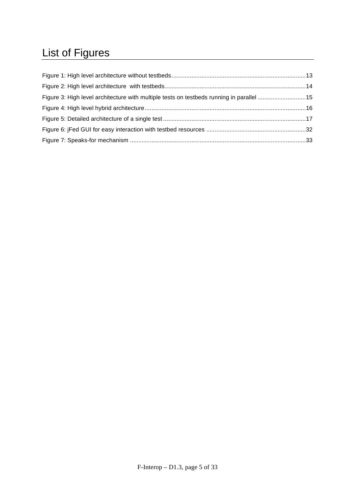## List of Figures

| Figure 3: High level architecture with multiple tests on testbeds running in parallel 15 |  |
|------------------------------------------------------------------------------------------|--|
|                                                                                          |  |
|                                                                                          |  |
|                                                                                          |  |
|                                                                                          |  |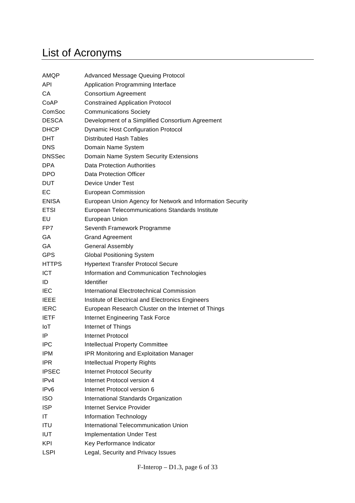## List of Acronyms

| AMQP             | <b>Advanced Message Queuing Protocol</b>                   |  |  |
|------------------|------------------------------------------------------------|--|--|
| <b>API</b>       | Application Programming Interface                          |  |  |
| СA               | <b>Consortium Agreement</b>                                |  |  |
| CoAP             | <b>Constrained Application Protocol</b>                    |  |  |
| ComSoc           | <b>Communications Society</b>                              |  |  |
| <b>DESCA</b>     | Development of a Simplified Consortium Agreement           |  |  |
| <b>DHCP</b>      | <b>Dynamic Host Configuration Protocol</b>                 |  |  |
| <b>DHT</b>       | <b>Distributed Hash Tables</b>                             |  |  |
| <b>DNS</b>       | Domain Name System                                         |  |  |
| <b>DNSSec</b>    | Domain Name System Security Extensions                     |  |  |
| <b>DPA</b>       | <b>Data Protection Authorities</b>                         |  |  |
| <b>DPO</b>       | <b>Data Protection Officer</b>                             |  |  |
| <b>DUT</b>       | <b>Device Under Test</b>                                   |  |  |
| EC               | <b>European Commission</b>                                 |  |  |
| <b>ENISA</b>     | European Union Agency for Network and Information Security |  |  |
| <b>ETSI</b>      | European Telecommunications Standards Institute            |  |  |
| EU               | <b>European Union</b>                                      |  |  |
| FP7              | Seventh Framework Programme                                |  |  |
| GA               | <b>Grand Agreement</b>                                     |  |  |
| GA               | <b>General Assembly</b>                                    |  |  |
| <b>GPS</b>       | <b>Global Positioning System</b>                           |  |  |
| <b>HTTPS</b>     | <b>Hypertext Transfer Protocol Secure</b>                  |  |  |
| <b>ICT</b>       | Information and Communication Technologies                 |  |  |
| ID               | Identifier                                                 |  |  |
| <b>IEC</b>       | International Electrotechnical Commission                  |  |  |
| <b>IEEE</b>      | Institute of Electrical and Electronics Engineers          |  |  |
| <b>IERC</b>      | European Research Cluster on the Internet of Things        |  |  |
| <b>IETF</b>      | Internet Engineering Task Force                            |  |  |
| <b>IoT</b>       | Internet of Things                                         |  |  |
| ΙP               | Internet Protocol                                          |  |  |
| IPC              | Intellectual Property Committee                            |  |  |
| <b>IPM</b>       | <b>IPR Monitoring and Exploitation Manager</b>             |  |  |
| <b>IPR</b>       | <b>Intellectual Property Rights</b>                        |  |  |
| <b>IPSEC</b>     | <b>Internet Protocol Security</b>                          |  |  |
| IPv4             | Internet Protocol version 4                                |  |  |
| IP <sub>v6</sub> | Internet Protocol version 6                                |  |  |
| <b>ISO</b>       | International Standards Organization                       |  |  |
| <b>ISP</b>       | Internet Service Provider                                  |  |  |
| ΙT               | <b>Information Technology</b>                              |  |  |
| ITU              | International Telecommunication Union                      |  |  |
| <b>IUT</b>       | <b>Implementation Under Test</b>                           |  |  |
| KPI              | Key Performance Indicator                                  |  |  |
| <b>LSPI</b>      | Legal, Security and Privacy Issues                         |  |  |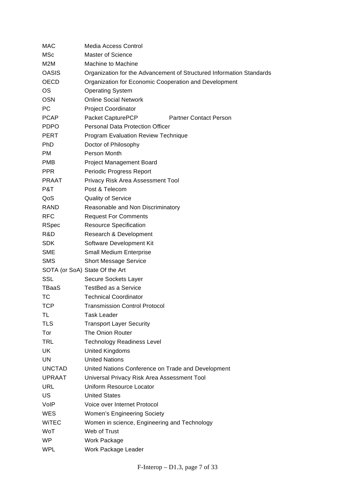| MAC              | Media Access Control                                                 |  |  |
|------------------|----------------------------------------------------------------------|--|--|
| <b>MSc</b>       | <b>Master of Science</b>                                             |  |  |
| M <sub>2</sub> M | Machine to Machine                                                   |  |  |
| OASIS            | Organization for the Advancement of Structured Information Standards |  |  |
| <b>OECD</b>      | Organization for Economic Cooperation and Development                |  |  |
| ОS               | <b>Operating System</b>                                              |  |  |
| OSN              | <b>Online Social Network</b>                                         |  |  |
| PС               | <b>Project Coordinator</b>                                           |  |  |
| <b>PCAP</b>      | Packet CapturePCP<br><b>Partner Contact Person</b>                   |  |  |
| <b>PDPO</b>      | <b>Personal Data Protection Officer</b>                              |  |  |
| PERT             | Program Evaluation Review Technique                                  |  |  |
| <b>PhD</b>       | Doctor of Philosophy                                                 |  |  |
| PM.              | Person Month                                                         |  |  |
| <b>PMB</b>       | <b>Project Management Board</b>                                      |  |  |
| <b>PPR</b>       | Periodic Progress Report                                             |  |  |
| <b>PRAAT</b>     | Privacy Risk Area Assessment Tool                                    |  |  |
| P&T              | Post & Telecom                                                       |  |  |
| QoS              | <b>Quality of Service</b>                                            |  |  |
| RAND             | Reasonable and Non Discriminatory                                    |  |  |
| RFC              | <b>Request For Comments</b>                                          |  |  |
| <b>RSpec</b>     | <b>Resource Specification</b>                                        |  |  |
| R&D              | Research & Development                                               |  |  |
| SDK.             | Software Development Kit                                             |  |  |
| <b>SME</b>       | <b>Small Medium Enterprise</b>                                       |  |  |
| SMS              | <b>Short Message Service</b>                                         |  |  |
|                  | SOTA (or SoA) State Of the Art                                       |  |  |
| SSL              | Secure Sockets Layer                                                 |  |  |
| TBaaS            | <b>TestBed as a Service</b>                                          |  |  |
| ТC               | <b>Technical Coordinator</b>                                         |  |  |
| TCP              | <b>Transmission Control Protocol</b>                                 |  |  |
| TL               | <b>Task Leader</b>                                                   |  |  |
| <b>TLS</b>       | <b>Transport Layer Security</b>                                      |  |  |
| Tor              | The Onion Router                                                     |  |  |
| <b>TRL</b>       | <b>Technology Readiness Level</b>                                    |  |  |
| UK               | United Kingdoms                                                      |  |  |
| UN               | <b>United Nations</b>                                                |  |  |
| <b>UNCTAD</b>    | United Nations Conference on Trade and Development                   |  |  |
| <b>UPRAAT</b>    | Universal Privacy Risk Area Assessment Tool                          |  |  |
| URL              | Uniform Resource Locator                                             |  |  |
| US               | <b>United States</b>                                                 |  |  |
| VoIP             | Voice over Internet Protocol                                         |  |  |
| WES              | <b>Women's Engineering Society</b>                                   |  |  |
| <b>WITEC</b>     | Women in science, Engineering and Technology                         |  |  |
| WoT              | Web of Trust                                                         |  |  |
| <b>WP</b>        | Work Package                                                         |  |  |
| <b>WPL</b>       | Work Package Leader                                                  |  |  |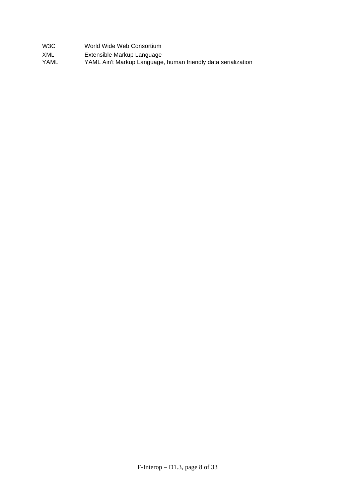| W3C | World Wide Web Consortium |  |
|-----|---------------------------|--|
|     |                           |  |

- XML Extensible Markup Language
- YAML YAML Ain't Markup Language, human friendly data serialization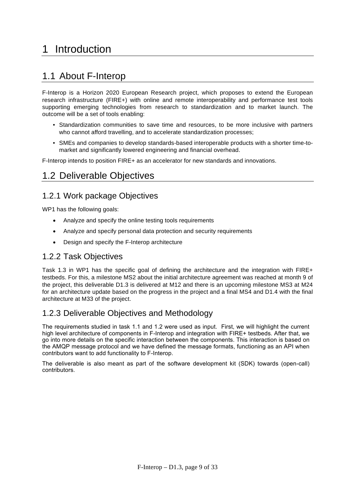## 1 Introduction

### 1.1 About F-Interop

F-Interop is a Horizon 2020 European Research project, which proposes to extend the European research infrastructure (FIRE+) with online and remote interoperability and performance test tools supporting emerging technologies from research to standardization and to market launch. The outcome will be a set of tools enabling:

- Standardization communities to save time and resources, to be more inclusive with partners who cannot afford travelling, and to accelerate standardization processes;
- SMEs and companies to develop standards-based interoperable products with a shorter time-tomarket and significantly lowered engineering and financial overhead.

F-Interop intends to position FIRE+ as an accelerator for new standards and innovations.

### 1.2 Deliverable Objectives

### 1.2.1 Work package Objectives

WP1 has the following goals:

- Analyze and specify the online testing tools requirements
- Analyze and specify personal data protection and security requirements
- Design and specify the F-Interop architecture

### 1.2.2 Task Objectives

Task 1.3 in WP1 has the specific goal of defining the architecture and the integration with FIRE+ testbeds. For this, a milestone MS2 about the initial architecture agreement was reached at month 9 of the project, this deliverable D1.3 is delivered at M12 and there is an upcoming milestone MS3 at M24 for an architecture update based on the progress in the project and a final MS4 and D1.4 with the final architecture at M33 of the project.

### 1.2.3 Deliverable Objectives and Methodology

The requirements studied in task 1.1 and 1.2 were used as input. First, we will highlight the current high level architecture of components in F-Interop and integration with FIRE+ testbeds. After that, we go into more details on the specific interaction between the components. This interaction is based on the AMQP message protocol and we have defined the message formats, functioning as an API when contributors want to add functionality to F-Interop.

The deliverable is also meant as part of the software development kit (SDK) towards (open-call) contributors.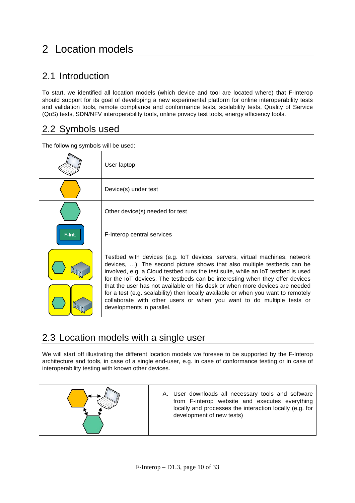## 2 Location models

### 2.1 Introduction

To start, we identified all location models (which device and tool are located where) that F-Interop should support for its goal of developing a new experimental platform for online interoperability tests and validation tools, remote compliance and conformance tests, scalability tests, Quality of Service (QoS) tests, SDN/NFV interoperability tools, online privacy test tools, energy efficiency tools.

### 2.2 Symbols used

The following symbols will be used:

|        | User laptop                                                                                                                                                                                                                                                                                                                                                                                                                                                                                                                                                                                         |
|--------|-----------------------------------------------------------------------------------------------------------------------------------------------------------------------------------------------------------------------------------------------------------------------------------------------------------------------------------------------------------------------------------------------------------------------------------------------------------------------------------------------------------------------------------------------------------------------------------------------------|
|        | Device(s) under test                                                                                                                                                                                                                                                                                                                                                                                                                                                                                                                                                                                |
|        | Other device(s) needed for test                                                                                                                                                                                                                                                                                                                                                                                                                                                                                                                                                                     |
| F-Int. | F-Interop central services                                                                                                                                                                                                                                                                                                                                                                                                                                                                                                                                                                          |
|        | Testbed with devices (e.g. IoT devices, servers, virtual machines, network<br>devices, ). The second picture shows that also multiple testbeds can be<br>involved, e.g. a Cloud testbed runs the test suite, while an IoT testbed is used<br>for the IoT devices. The testbeds can be interesting when they offer devices<br>that the user has not available on his desk or when more devices are needed<br>for a test (e.g. scalability) then locally available or when you want to remotely<br>collaborate with other users or when you want to do multiple tests or<br>developments in parallel. |

### 2.3 Location models with a single user

We will start off illustrating the different location models we foresee to be supported by the F-Interop architecture and tools, in case of a single end-user, e.g. in case of conformance testing or in case of interoperability testing with known other devices.



A. User downloads all necessary tools and software from F-interop website and executes everything locally and processes the interaction locally (e.g. for development of new tests)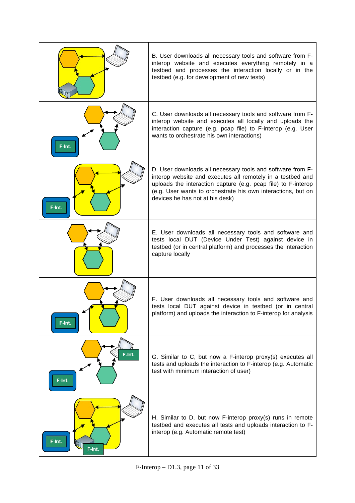|                  | B. User downloads all necessary tools and software from F-<br>interop website and executes everything remotely in a<br>testbed and processes the interaction locally or in the<br>testbed (e.g. for development of new tests)                                                                |
|------------------|----------------------------------------------------------------------------------------------------------------------------------------------------------------------------------------------------------------------------------------------------------------------------------------------|
| F-Int.           | C. User downloads all necessary tools and software from F-<br>interop website and executes all locally and uploads the<br>interaction capture (e.g. pcap file) to F-interop (e.g. User<br>wants to orchestrate his own interactions)                                                         |
| F-Int.           | D. User downloads all necessary tools and software from F-<br>interop website and executes all remotely in a testbed and<br>uploads the interaction capture (e.g. pcap file) to F-interop<br>(e.g. User wants to orchestrate his own interactions, but on<br>devices he has not at his desk) |
|                  | E. User downloads all necessary tools and software and<br>tests local DUT (Device Under Test) against device in<br>testbed (or in central platform) and processes the interaction<br>capture locally                                                                                         |
| F-Int.           | F. User downloads all necessary tools and software and<br>tests local DUT against device in testbed (or in central<br>platform) and uploads the interaction to F-interop for analysis                                                                                                        |
| F-Int.<br>F-Int. | G. Similar to C, but now a F-interop proxy(s) executes all<br>tests and uploads the interaction to F-interop (e.g. Automatic<br>test with minimum interaction of user)                                                                                                                       |
| F-Int.<br>F-Int. | H. Similar to D, but now F-interop proxy(s) runs in remote<br>testbed and executes all tests and uploads interaction to F-<br>interop (e.g. Automatic remote test)                                                                                                                           |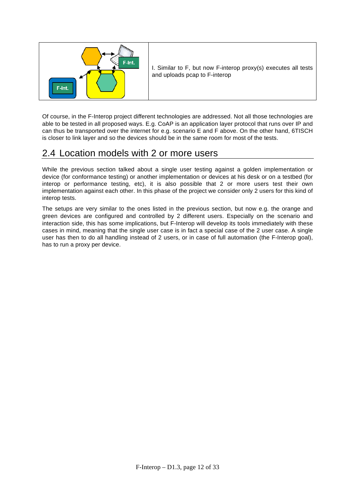

I. Similar to F, but now F-interop proxy(s) executes all tests and uploads pcap to F-interop

Of course, in the F-Interop project different technologies are addressed. Not all those technologies are able to be tested in all proposed ways. E.g. CoAP is an application layer protocol that runs over IP and can thus be transported over the internet for e.g. scenario E and F above. On the other hand, 6TISCH is closer to link layer and so the devices should be in the same room for most of the tests.

### 2.4 Location models with 2 or more users

While the previous section talked about a single user testing against a golden implementation or device (for conformance testing) or another implementation or devices at his desk or on a testbed (for interop or performance testing, etc), it is also possible that 2 or more users test their own implementation against each other. In this phase of the project we consider only 2 users for this kind of interop tests.

The setups are very similar to the ones listed in the previous section, but now e.g. the orange and green devices are configured and controlled by 2 different users. Especially on the scenario and interaction side, this has some implications, but F-Interop will develop its tools immediately with these cases in mind, meaning that the single user case is in fact a special case of the 2 user case. A single user has then to do all handling instead of 2 users, or in case of full automation (the F-Interop goal), has to run a proxy per device.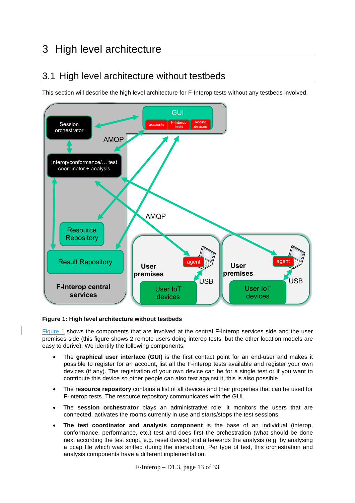## 3 High level architecture

### 3.1 High level architecture without testbeds

This section will describe the high level architecture for F-Interop tests without any testbeds involved.



#### **Figure 1: High level architecture without testbeds**

Figure 1 shows the components that are involved at the central F-Interop services side and the user premises side (this figure shows 2 remote users doing interop tests, but the other location models are easy to derive). We identify the following components:

- The **graphical user interface (GUI)** is the first contact point for an end-user and makes it possible to register for an account, list all the F-interop tests available and register your own devices (if any). The registration of your own device can be for a single test or if you want to contribute this device so other people can also test against it, this is also possible
- The **resource repository** contains a list of all devices and their properties that can be used for F-interop tests. The resource repository communicates with the GUI.
- The **session orchestrator** plays an administrative role: it monitors the users that are connected, activates the rooms currently in use and starts/stops the test sessions.
- **The test coordinator and analysis component** is the base of an individual (interop, conformance, performance, etc.) test and does first the orchestration (what should be done next according the test script, e.g. reset device) and afterwards the analysis (e.g. by analysing a pcap file which was sniffed during the interaction). Per type of test, this orchestration and analysis components have a different implementation.

F-Interop – D1.3, page 13 of 33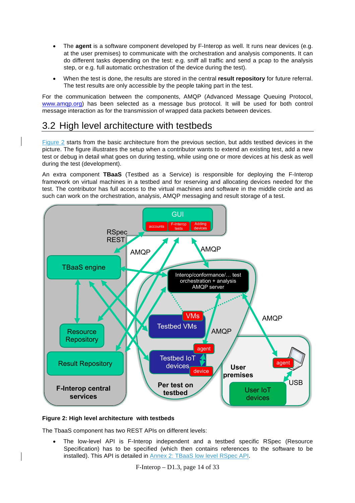- The **agent** is a software component developed by F-Interop as well. It runs near devices (e.g. at the user premises) to communicate with the orchestration and analysis components. It can do different tasks depending on the test: e.g. sniff all traffic and send a pcap to the analysis step, or e.g. full automatic orchestration of the device during the test).
- When the test is done, the results are stored in the central **result repository** for future referral. The test results are only accessible by the people taking part in the test.

For the communication between the components, AMQP (Advanced Message Queuing Protocol, www.amqp.org) has been selected as a message bus protocol. It will be used for both control message interaction as for the transmission of wrapped data packets between devices.

### 3.2 High level architecture with testbeds

Figure 2 starts from the basic architecture from the previous section, but adds testbed devices in the picture. The figure illustrates the setup when a contributor wants to extend an existing test, add a new test or debug in detail what goes on during testing, while using one or more devices at his desk as well during the test (development).

An extra component **TBaaS** (Testbed as a Service) is responsible for deploying the F-Interop framework on virtual machines in a testbed and for reserving and allocating devices needed for the test. The contributor has full access to the virtual machines and software in the middle circle and as such can work on the orchestration, analysis, AMQP messaging and result storage of a test.



#### **Figure 2: High level architecture with testbeds**

The TbaaS component has two REST APIs on different levels:

• The low-level API is F-Interop independent and a testbed specific RSpec (Resource Specification) has to be specified (which then contains references to the software to be installed). This API is detailed in Annex 2: TBaaS low level RSpec API.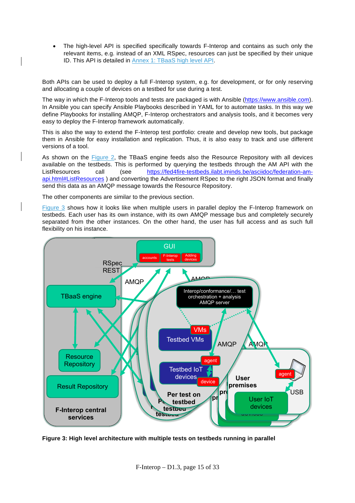• The high-level API is specified specifically towards F-Interop and contains as such only the relevant items, e.g. instead of an XML RSpec, resources can just be specified by their unique ID. This API is detailed in Annex 1: TBaaS high level API.

Both APIs can be used to deploy a full F-Interop system, e.g. for development, or for only reserving and allocating a couple of devices on a testbed for use during a test.

The way in which the F-Interop tools and tests are packaged is with Ansible (https://www.ansible.com). In Ansible you can specify Ansible Playbooks described in YAML for to automate tasks. In this way we define Playbooks for installing AMQP, F-Interop orchestrators and analysis tools, and it becomes very easy to deploy the F-Interop framework automatically.

This is also the way to extend the F-Interop test portfolio: create and develop new tools, but package them in Ansible for easy installation and replication. Thus, it is also easy to track and use different versions of a tool.

As shown on the Figure 2, the TBaaS engine feeds also the Resource Repository with all devices available on the testbeds. This is performed by querying the testbeds through the AM API with the ListResources call (see https://fed4fire-testbeds.ilabt.iminds.be/asciidoc/federation-amapi.html#ListResources ) and converting the Advertisement RSpec to the right JSON format and finally send this data as an AMQP message towards the Resource Repository.

The other components are similar to the previous section.

Figure 3 shows how it looks like when multiple users in parallel deploy the F-Interop framework on testbeds. Each user has its own instance, with its own AMQP message bus and completely securely separated from the other instances. On the other hand, the user has full access and as such full flexibility on his instance.



**Figure 3: High level architecture with multiple tests on testbeds running in parallel**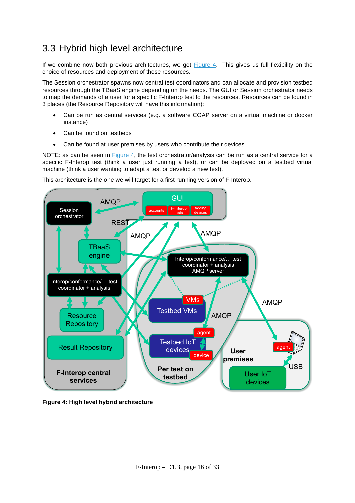### 3.3 Hybrid high level architecture

If we combine now both previous architectures, we get Figure 4. This gives us full flexibility on the choice of resources and deployment of those resources.

The Session orchestrator spawns now central test coordinators and can allocate and provision testbed resources through the TBaaS engine depending on the needs. The GUI or Session orchestrator needs to map the demands of a user for a specific F-Interop test to the resources. Resources can be found in 3 places (the Resource Repository will have this information):

- Can be run as central services (e.g. a software COAP server on a virtual machine or docker instance)
- Can be found on testbeds
- Can be found at user premises by users who contribute their devices

NOTE: as can be seen in Figure 4, the test orchestrator/analysis can be run as a central service for a specific F-Interop test (think a user just running a test), or can be deployed on a testbed virtual machine (think a user wanting to adapt a test or develop a new test).

This architecture is the one we will target for a first running version of F-Interop.



**Figure 4: High level hybrid architecture**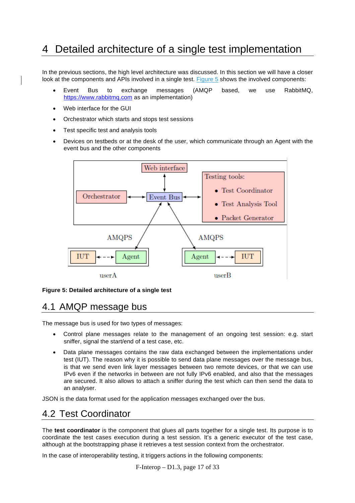## 4 Detailed architecture of a single test implementation

In the previous sections, the high level architecture was discussed. In this section we will have a closer look at the components and APIs involved in a single test. Figure 5 shows the involved components:

- Event Bus to exchange messages (AMQP based, we use RabbitMQ, https://www.rabbitmq.com as an implementation)
- Web interface for the GUI
- Orchestrator which starts and stops test sessions
- Test specific test and analysis tools
- Devices on testbeds or at the desk of the user, which communicate through an Agent with the event bus and the other components



#### **Figure 5: Detailed architecture of a single test**

### 4.1 AMQP message bus

The message bus is used for two types of messages:

- Control plane messages relate to the management of an ongoing test session: e.g. start sniffer, signal the start/end of a test case, etc.
- Data plane messages contains the raw data exchanged between the implementations under test (IUT). The reason why it is possible to send data plane messages over the message bus, is that we send even link layer messages between two remote devices, or that we can use IPv6 even if the networks in between are not fully IPv6 enabled, and also that the messages are secured. It also allows to attach a sniffer during the test which can then send the data to an analyser.

JSON is the data format used for the application messages exchanged over the bus.

### 4.2 Test Coordinator

The **test coordinator** is the component that glues all parts together for a single test. Its purpose is to coordinate the test cases execution during a test session. It's a generic executor of the test case, although at the bootstrapping phase it retrieves a test session context from the orchestrator.

In the case of interoperability testing, it triggers actions in the following components: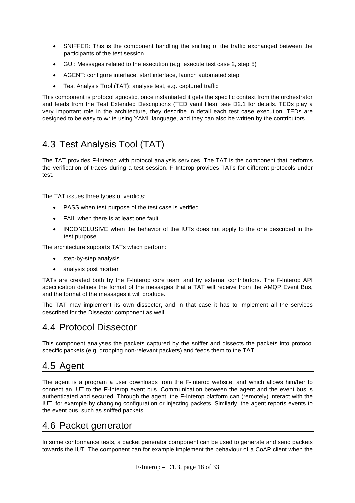- SNIFFER: This is the component handling the sniffing of the traffic exchanged between the participants of the test session
- GUI: Messages related to the execution (e.g. execute test case 2, step 5)
- AGENT: configure interface, start interface, launch automated step
- Test Analysis Tool (TAT): analyse test, e.g. captured traffic

This component is protocol agnostic, once instantiated it gets the specific context from the orchestrator and feeds from the Test Extended Descriptions (TED yaml files), see D2.1 for details. TEDs play a very important role in the architecture, they describe in detail each test case execution. TEDs are designed to be easy to write using YAML language, and they can also be written by the contributors.

### 4.3 Test Analysis Tool (TAT)

The TAT provides F-Interop with protocol analysis services. The TAT is the component that performs the verification of traces during a test session. F-Interop provides TATs for different protocols under test.

The TAT issues three types of verdicts:

- PASS when test purpose of the test case is verified
- FAIL when there is at least one fault
- INCONCLUSIVE when the behavior of the IUTs does not apply to the one described in the test purpose.

The architecture supports TATs which perform:

- step-by-step analysis
- analysis post mortem

TATs are created both by the F-Interop core team and by external contributors. The F-Interop API specification defines the format of the messages that a TAT will receive from the AMQP Event Bus, and the format of the messages it will produce.

The TAT may implement its own dissector, and in that case it has to implement all the services described for the Dissector component as well.

### 4.4 Protocol Dissector

This component analyses the packets captured by the sniffer and dissects the packets into protocol specific packets (e.g. dropping non-relevant packets) and feeds them to the TAT.

### 4.5 Agent

The agent is a program a user downloads from the F-Interop website, and which allows him/her to connect an IUT to the F-Interop event bus. Communication between the agent and the event bus is authenticated and secured. Through the agent, the F-Interop platform can (remotely) interact with the IUT, for example by changing configuration or injecting packets. Similarly, the agent reports events to the event bus, such as sniffed packets.

### 4.6 Packet generator

In some conformance tests, a packet generator component can be used to generate and send packets towards the IUT. The component can for example implement the behaviour of a CoAP client when the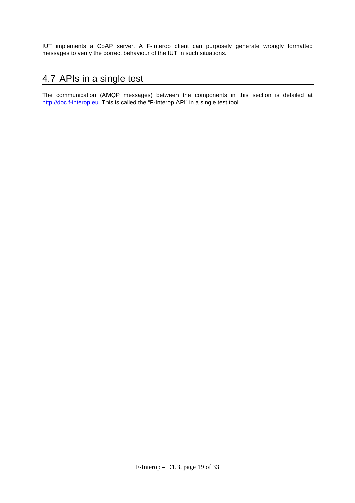IUT implements a CoAP server. A F-Interop client can purposely generate wrongly formatted messages to verify the correct behaviour of the IUT in such situations.

### 4.7 APIs in a single test

The communication (AMQP messages) between the components in this section is detailed at http://doc.f-interop.eu. This is called the "F-Interop API" in a single test tool.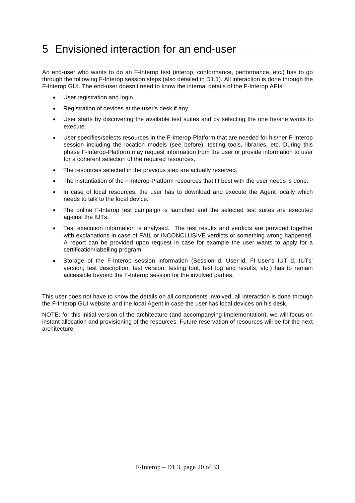## 5 Envisioned interaction for an end-user

An end-user who wants to do an F-Interop test (interop, conformance, performance, etc.) has to go through the following F-Interop session steps (also detailed in D1.1). All interaction is done through the F-Interop GUI. The end-user doesn't need to know the internal details of the F-Interop APIs.

- User registration and login
- Registration of devices at the user's desk if any
- User starts by discovering the available test suites and by selecting the one he/she wants to execute.
- User specifies/selects resources in the F-Interop-Platform that are needed for his/her F-Interop session including the location models (see before), testing tools, libraries, etc. During this phase F-Interop-Platform may request information from the user or provide information to user for a coherent selection of the required resources.
- The resources selected in the previous step are actually reserved.
- The instantiation of the F-Interop-Platform resources that fit best with the user needs is done.
- In case of local resources, the user has to download and execute the Agent locally which needs to talk to the local device.
- The online F-Interop test campaign is launched and the selected test suites are executed against the IUTs.
- Test execution information is analysed. The test results and verdicts are provided together with explanations in case of FAIL or INCONCLUSIVE verdicts or something wrong happened. A report can be provided upon request in case for example the user wants to apply for a certification/labelling program.
- Storage of the F-Interop session information (Session-id, User-id, FI-User's IUT-id, IUTs' version, test description, test version, testing tool, test log and results, etc.) has to remain accessible beyond the F-Interop session for the involved parties.

This user does not have to know the details on all components involved, all interaction is done through the F-Interop GUI website and the local Agent in case the user has local devices on his desk.

NOTE: for this initial version of the architecture (and accompanying implementation), we will focus on instant allocation and provisioning of the resources. Future reservation of resources will be for the next architecture.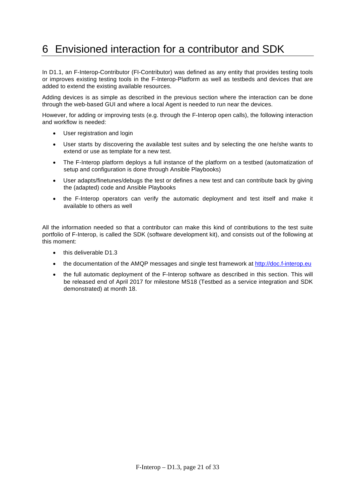## 6 Envisioned interaction for a contributor and SDK

In D1.1, an F-Interop-Contributor (FI-Contributor) was defined as any entity that provides testing tools or improves existing testing tools in the F-Interop-Platform as well as testbeds and devices that are added to extend the existing available resources.

Adding devices is as simple as described in the previous section where the interaction can be done through the web-based GUI and where a local Agent is needed to run near the devices.

However, for adding or improving tests (e.g. through the F-Interop open calls), the following interaction and workflow is needed:

- User registration and login
- User starts by discovering the available test suites and by selecting the one he/she wants to extend or use as template for a new test.
- The F-Interop platform deploys a full instance of the platform on a testbed (automatization of setup and configuration is done through Ansible Playbooks)
- User adapts/finetunes/debugs the test or defines a new test and can contribute back by giving the (adapted) code and Ansible Playbooks
- the F-Interop operators can verify the automatic deployment and test itself and make it available to others as well

All the information needed so that a contributor can make this kind of contributions to the test suite portfolio of F-Interop, is called the SDK (software development kit), and consists out of the following at this moment:

- this deliverable D1.3
- the documentation of the AMQP messages and single test framework at http://doc.f-interop.eu
- the full automatic deployment of the F-Interop software as described in this section. This will be released end of April 2017 for milestone MS18 (Testbed as a service integration and SDK demonstrated) at month 18.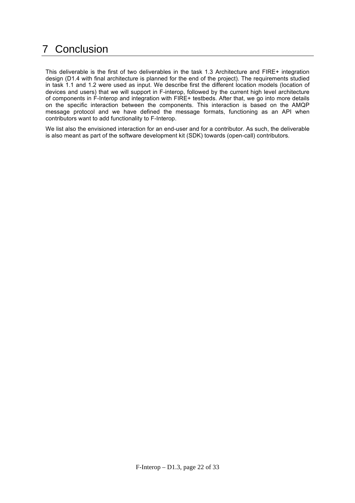## 7 Conclusion

This deliverable is the first of two deliverables in the task 1.3 Architecture and FIRE+ integration design (D1.4 with final architecture is planned for the end of the project). The requirements studied in task 1.1 and 1.2 were used as input. We describe first the different location models (location of devices and users) that we will support in F-interop, followed by the current high level architecture of components in F-Interop and integration with FIRE+ testbeds. After that, we go into more details on the specific interaction between the components. This interaction is based on the AMQP message protocol and we have defined the message formats, functioning as an API when contributors want to add functionality to F-Interop.

We list also the envisioned interaction for an end-user and for a contributor. As such, the deliverable is also meant as part of the software development kit (SDK) towards (open-call) contributors.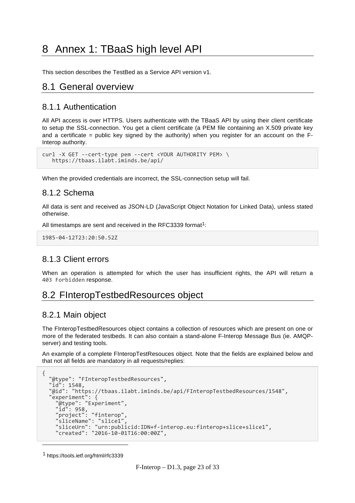## 8 Annex 1: TBaaS high level API

This section describes the TestBed as a Service API version v1.

### 8.1 General overview

#### 8.1.1 Authentication

All API access is over HTTPS. Users authenticate with the TBaaS API by using their client certificate to setup the SSL-connection. You get a client certificate (a PEM file containing an X.509 private key and a certificate = public key signed by the authority) when you register for an account on the  $F<sub>-</sub>$ Interop authority.

```
curl -X GET --cert-type pem --cert <YOUR AUTHORITY PEM> \
    https://tbaas.ilabt.iminds.be/api/
```
When the provided credentials are incorrect, the SSL-connection setup will fail.

#### 8.1.2 Schema

All data is sent and received as JSON-LD (JavaScript Object Notation for Linked Data), unless stated otherwise.

All timestamps are sent and received in the RFC3339 format<sup>1</sup>:

```
1985-04-12T23:20:50.52Z
```
#### 8.1.3 Client errors

When an operation is attempted for which the user has insufficient rights, the API will return a 403 Forbidden response.

### 8.2 FInteropTestbedResources object

#### 8.2.1 Main object

The FInteropTestbedResources object contains a collection of resources which are present on one or more of the federated testbeds. It can also contain a stand-alone F-Interop Message Bus (ie. AMQPserver) and testing tools.

An example of a complete FInteropTestResouces object. Note that the fields are explained below and that not all fields are mandatory in all requests/replies:

```
{
  "@type": "FInteropTestbedResources",
 "id": 1548,
 "@id": "https://tbaas.ilabt.iminds.be/api/FInteropTestbedResources/1548",
 "experiment": {
 "@type": "Experiment",
 "id": 958,
 "project": "finterop",
 "sliceName": "slice1",
 "sliceUrn": "urn:publicid:IDN+f-interop.eu:finterop+slice+slice1",
    "created": "2016-10-01T16:00:00Z",
```
<sup>1</sup> https://tools.ietf.org/html/rfc3339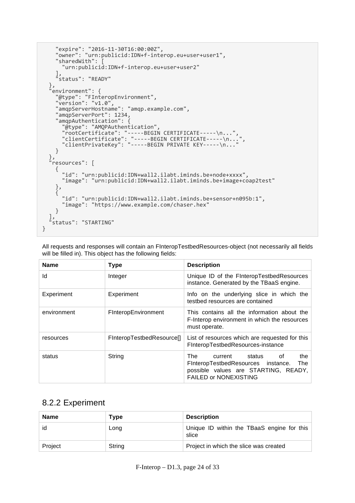```
 "expire": "2016-11-30T16:00:00Z",
 "owner": "urn:publicid:IDN+f-interop.eu+user+user1",
     "sharedWith": [
       "urn:publicid:IDN+f-interop.eu+user+user2"
 ],
 "status": "READY"
 },
 "environment": {
 "@type": "FInteropEnvironment",
 "version": "v1.0",
     "amqpServerHostname": "amqp.example.com",
     "amqpServerPort": 1234,
 "amqpAuthentication": {
 "@type": "AMQPAuthentication",
 "rootCertificate": "-----BEGIN CERTIFICATE-----\n...",
 "clientCertificate": "-----BEGIN CERTIFICATE-----\n...",
 "clientPrivateKey": "-----BEGIN PRIVATE KEY-----\n..."
     }
 },
 "resources": [
\left\{ \begin{array}{c} \end{array} \right. "id": "urn:publicid:IDN+wall2.ilabt.iminds.be+node+xxxx",
       "image": "urn:publicid:IDN+wall2.ilabt.iminds.be+image+coap2test"
     },
     {
      "id": "urn:publicid:IDN+wall2.ilabt.iminds.be+sensor+n095b:1",
       "image": "https://www.example.com/chaser.hex"
     }
 ],
 "status": "STARTING"
}
```
All requests and responses will contain an FInteropTestbedResources-object (not necessarily all fields will be filled in). This object has the following fields:

| <b>Name</b> | <b>Type</b>               | <b>Description</b>                                                                                                                                      |
|-------------|---------------------------|---------------------------------------------------------------------------------------------------------------------------------------------------------|
| ld          | Integer                   | Unique ID of the FInteropTestbedResources<br>instance. Generated by the TBaaS engine.                                                                   |
| Experiment  | Experiment                | Info on the underlying slice in which the<br>testbed resources are contained                                                                            |
| environment | FInteropEnvironment       | This contains all the information about the<br>F-Interop environment in which the resources<br>must operate.                                            |
| resources   | FinteropTestbedResource[] | List of resources which are requested for this<br>FInteropTestbedResources-instance                                                                     |
| status      | String                    | The<br>the<br>0f<br>current status<br>FInteropTestbedResources instance.<br>The<br>possible values are STARTING, READY,<br><b>FAILED or NONEXISTING</b> |

### 8.2.2 Experiment

| <b>Name</b> | Type   | <b>Description</b>                                  |
|-------------|--------|-----------------------------------------------------|
| id          | Long   | Unique ID within the TBaaS engine for this<br>slice |
| Project     | String | Project in which the slice was created              |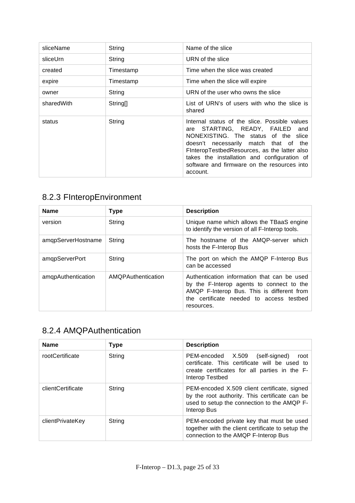| sliceName  | String               | Name of the slice                                                                                                                                                                                                                                                                                                                    |
|------------|----------------------|--------------------------------------------------------------------------------------------------------------------------------------------------------------------------------------------------------------------------------------------------------------------------------------------------------------------------------------|
| sliceUrn   | String               | URN of the slice                                                                                                                                                                                                                                                                                                                     |
| created    | Timestamp            | Time when the slice was created                                                                                                                                                                                                                                                                                                      |
| expire     | Timestamp            | Time when the slice will expire                                                                                                                                                                                                                                                                                                      |
| owner      | String               | URN of the user who owns the slice                                                                                                                                                                                                                                                                                                   |
| sharedWith | String <sup>[]</sup> | List of URN's of users with who the slice is<br>shared                                                                                                                                                                                                                                                                               |
| status     | String               | Internal status of the slice. Possible values<br>STARTING, READY, FAILED<br>and<br>are<br>NONEXISTING. The status of the slice<br>doesn't necessarily match that of<br>the<br>FInteropTestbedResources, as the latter also<br>takes the installation and configuration of<br>software and firmware on the resources into<br>account. |

### 8.2.3 FInteropEnvironment

| <b>Name</b>        | <b>Type</b>        | <b>Description</b>                                                                                                                                                                               |  |  |  |  |
|--------------------|--------------------|--------------------------------------------------------------------------------------------------------------------------------------------------------------------------------------------------|--|--|--|--|
| version            | String             | Unique name which allows the TBaaS engine<br>to identify the version of all F-Interop tools.                                                                                                     |  |  |  |  |
| amgpServerHostname | String             | The hostname of the AMQP-server which<br>hosts the F-Interop Bus                                                                                                                                 |  |  |  |  |
| amqpServerPort     | String             | The port on which the AMQP F-Interop Bus<br>can be accessed                                                                                                                                      |  |  |  |  |
| amqpAuthentication | AMQPAuthentication | Authentication information that can be used<br>by the F-Interop agents to connect to the<br>AMQP F-Interop Bus. This is different from<br>the certificate needed to access testbed<br>resources. |  |  |  |  |

### 8.2.4 AMQPAuthentication

| <b>Name</b>       | Type   | <b>Description</b>                                                                                                                                              |
|-------------------|--------|-----------------------------------------------------------------------------------------------------------------------------------------------------------------|
| rootCertificate   | String | PEM-encoded X.509<br>(self-signed)<br>root<br>certificate. This certificate will be used to<br>create certificates for all parties in the F-<br>Interop Testbed |
| clientCertificate | String | PEM-encoded X.509 client certificate, signed<br>by the root authority. This certificate can be<br>used to setup the connection to the AMQP F-<br>Interop Bus    |
| clientPrivateKey  | String | PEM-encoded private key that must be used<br>together with the client certificate to setup the<br>connection to the AMQP F-Interop Bus                          |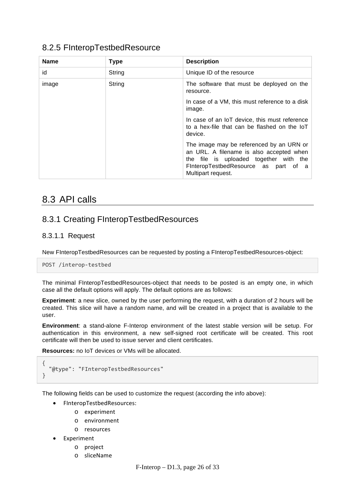### 8.2.5 FInteropTestbedResource

| <b>Name</b> | <b>Type</b> | <b>Description</b>                                                                                                                                                                           |
|-------------|-------------|----------------------------------------------------------------------------------------------------------------------------------------------------------------------------------------------|
| id          | String      | Unique ID of the resource                                                                                                                                                                    |
| image       | String      | The software that must be deployed on the<br>resource.                                                                                                                                       |
|             |             | In case of a VM, this must reference to a disk<br>image.                                                                                                                                     |
|             |             | In case of an IoT device, this must reference<br>to a hex-file that can be flashed on the loT<br>device.                                                                                     |
|             |             | The image may be referenced by an URN or<br>an URL. A filename is also accepted when<br>the file is uploaded together with the<br>FinteropTestbedResource as part of a<br>Multipart request. |

### 8.3 API calls

### 8.3.1 Creating FInteropTestbedResources

#### 8.3.1.1 Request

New FInteropTestbedResources can be requested by posting a FInteropTestbedResources-object:

POST /interop-testbed

The minimal FInteropTestbedResources-object that needs to be posted is an empty one, in which case all the default options will apply. The default options are as follows:

**Experiment**: a new slice, owned by the user performing the request, with a duration of 2 hours will be created. This slice will have a random name, and will be created in a project that is available to the user.

**Environment**: a stand-alone F-Interop environment of the latest stable version will be setup. For authentication in this environment, a new self-signed root certificate will be created. This root certificate will then be used to issue server and client certificates.

**Resources:** no IoT devices or VMs will be allocated.

```
{
   "@type": "FInteropTestbedResources"
}
```
The following fields can be used to customize the request (according the info above):

- FInteropTestbedResources:
	- o experiment
	- o environment
	- o resources
	- **Experiment** 
		- o project
		- o sliceName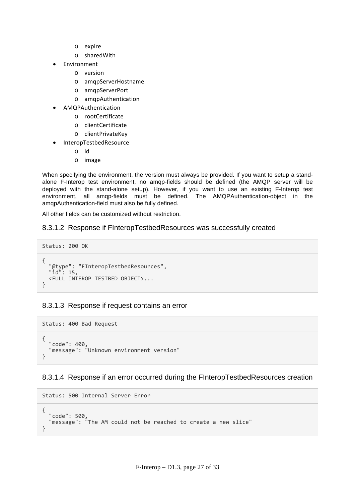- o expire
- o sharedWith
- Environment
	- o version
	- o amqpServerHostname
	- o amqpServerPort
	- o amqpAuthentication
- AMQPAuthentication
	- o rootCertificate
	- o clientCertificate
	- o clientPrivateKey
- InteropTestbedResource
	- o id
	- o image

When specifying the environment, the version must always be provided. If you want to setup a standalone F-Interop test environment, no amqp-fields should be defined (the AMQP server will be deployed with the stand-alone setup). However, if you want to use an existing F-Interop test environment, all amqp-fields must be defined. The AMQPAuthentication-object in the amqpAuthentication-field must also be fully defined.

All other fields can be customized without restriction.

#### 8.3.1.2 Response if FInteropTestbedResources was successfully created

```
Status: 200 OK
{
   "@type": "FInteropTestbedResources",
   "id": 15,
   <FULL INTEROP TESTBED OBJECT>...
}
```
#### 8.3.1.3 Response if request contains an error

```
Status: 400 Bad Request
{
 "code": 400,
 "message": "Unknown environment version"
}
```
#### 8.3.1.4 Response if an error occurred during the FInteropTestbedResources creation

```
Status: 500 Internal Server Error
{
 "code": 500,
   "message": "The AM could not be reached to create a new slice"
}
```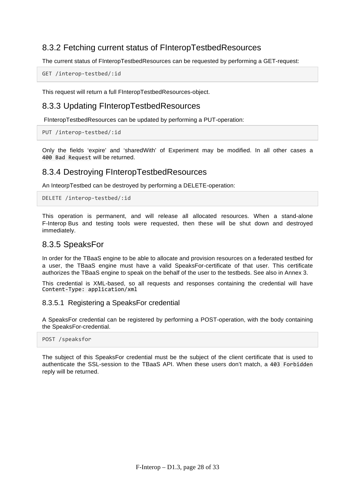### 8.3.2 Fetching current status of FInteropTestbedResources

The current status of FInteropTestbedResources can be requested by performing a GET-request:

GET /interop-testbed/:id

This request will return a full FInteropTestbedResources-object.

#### 8.3.3 Updating FInteropTestbedResources

FInteropTestbedResources can be updated by performing a PUT-operation:

PUT /interop-testbed/:id

Only the fields 'expire' and 'sharedWith' of Experiment may be modified. In all other cases a 400 Bad Request will be returned.

#### 8.3.4 Destroying FInteropTestbedResources

An InteorpTestbed can be destroyed by performing a DELETE-operation:

DELETE /interop-testbed/:id

This operation is permanent, and will release all allocated resources. When a stand-alone F-Interop Bus and testing tools were requested, then these will be shut down and destroyed immediately.

#### 8.3.5 SpeaksFor

In order for the TBaaS engine to be able to allocate and provision resources on a federated testbed for a user, the TBaaS engine must have a valid SpeaksFor-certificate of that user. This certificate authorizes the TBaaS engine to speak on the behalf of the user to the testbeds. See also in Annex 3.

This credential is XML-based, so all requests and responses containing the credential will have Content-Type: application/xml

#### 8.3.5.1 Registering a SpeaksFor credential

A SpeaksFor credential can be registered by performing a POST-operation, with the body containing the SpeaksFor-credential.

#### POST /speaksfor

The subject of this SpeaksFor credential must be the subject of the client certificate that is used to authenticate the SSL-session to the TBaaS API. When these users don't match, a 403 Forbidden reply will be returned.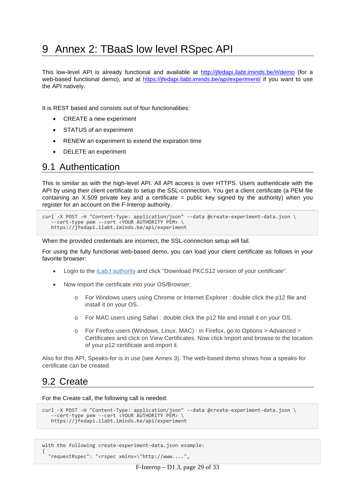## 9 Annex 2: TBaaS low level RSpec API

This low-level API is already functional and available at http://jfedapi.ilabt.iminds.be/#/demo (for a web-based functional demo), and at https://jfedapi.jlabt.jminds.be/api/experiment/ if you want to use the API natively.

It is REST based and consists out of four functionalities:

- CREATE a new experiment
- STATUS of an experiment
- RENEW an experiment to extend the expiration time
- DELETE an experiment

### 9.1 Authentication

This is similar as with the high-level API. All API access is over HTTPS. Users authenticate with the API by using their client certificate to setup the SSL-connection. You get a client certificate (a PEM file containing an  $X.509$  private key and a certificate = public key signed by the authority) when you register for an account on the F-Interop authority.

```
curl -X POST -H "Content-Type: application/json" --data @create-experiment-data.json \<br>--cert-type pem --cert <YOUR AUTHORITY PEM> \
    https://jfedapi.ilabt.iminds.be/api/experiment
```
When the provided credentials are incorrect, the SSL-connection setup will fail.

For using the fully functional web-based demo, you can load your client certificate as follows in your favorite browser:

- Login to the iLab.t authority and click "Download PKCS12 version of your certificate".
- Now import the certificate into your OS/Browser:
	- o For Windows users using Chrome or Internet Explorer : double click the p12 file and install it on your OS.
	- o For MAC users using Safari : double click the p12 file and install it on your OS.
	- o For Firefox users (Windows, Linux, MAC) : in Firefox, go to Options > Advanced > Certificates and click on View Certificates. Now click Import and browse to the location of your p12 certificate and import it.

Also for this API, Speaks-for is in use (see Annex 3). The web-based demo shows how a speaks-for certificate can be created.

### 9.2 Create

{

For the Create call, the following call is needed:

```
curl -X POST -H "Content-Type: application/json" --data @create-experiment-data.json \
    --cert-type pem --cert <YOUR AUTHORITY PEM> \
    https://jfedapi.ilabt.iminds.be/api/experiment
```

```
with the following create-experiment-data.json example:
```

```
 "requestRspec": "<rspec xmlns=\"http://www....",
```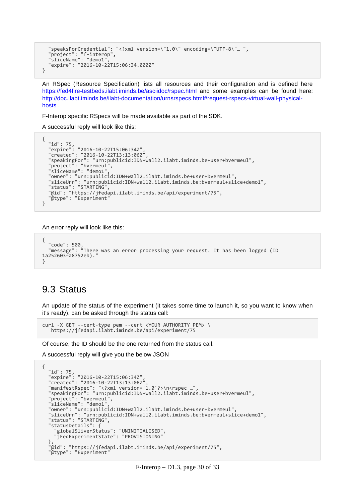```
 "speaksForCredential": "<?xml version=\"1.0\" encoding=\"UTF-8\"… ",
 "project": "f-interop",
"sliceName": "demo1",<br>"expire": "2016-10-22T15:06:34.000Z"
}
```
An RSpec (Resource Specification) lists all resources and their configuration and is defined here https://fed4fire-testbeds.ilabt.iminds.be/asciidoc/rspec.html and some examples can be found here: http://doc.ilabt.iminds.be/ilabt-documentation/urnsrspecs.html#request-rspecs-virtual-wall-physicalhosts .

F-Interop specific RSpecs will be made available as part of the SDK.

A successful reply will look like this:

```
{
 "id": 75,
 "expire": "2016-10-22T15:06:34Z",
 "created": "2016-10-22T13:13:06Z",
   "speakingFor": "urn:publicid:IDN+wall2.ilabt.iminds.be+user+bvermeul",
  "project": "bvermeul",
 "owner": "urn:publicid:IDN+wall2.ilabt.iminds.be+user+bvermeul"
 "sliceUrn": "urn:publicid:IDN+wall2.ilabt.iminds.be:bvermeul+slice+demo1",
 "status": "STARTING",
 "@id": "https://jfedapi.ilabt.iminds.be/api/experiment/75",
   "@type": "Experiment"
}
```
An error reply will look like this:

```
{
 "code": 500,
 "message": "There was an error processing your request. It has been logged (ID 
1a252603fa8752eb)."
}
```
### 9.3 Status

An update of the status of the experiment (it takes some time to launch it, so you want to know when it's ready), can be asked through the status call:

```
curl -X GET --cert-type pem --cert <YOUR AUTHORITY PEM> \
   https://jfedapi.ilabt.iminds.be/api/experiment/75
```
Of course, the ID should be the one returned from the status call.

A successful reply will give you the below JSON

```
{
 "id": 75,
 "expire": "2016-10-22T15:06:34Z",
 "created": "2016-10-22T13:13:06Z",
 "manifestRspec": "<?xml version='1.0'?>\n<rspec …",
 "speakingFor": "urn:publicid:IDN+wall2.ilabt.iminds.be+user+bvermeul",
 "project": "bvermeul",
 "sliceName": "demo1",
  "owner": "urn:publicid:IDN+wall2.ilabt.iminds.be+user+bvermeul",
 "sliceUrn": "urn:publicid:IDN+wall2.ilabt.iminds.be:bvermeul+slice+demo1",
 "status": "STARTING",
  "statusDetails": { "globalSliverStatus": "UNINITIALISED",
    "jFedExperimentState": "PROVISIONING"
 },
 "@id": "https://jfedapi.ilabt.iminds.be/api/experiment/75",
 "@type": "Experiment
```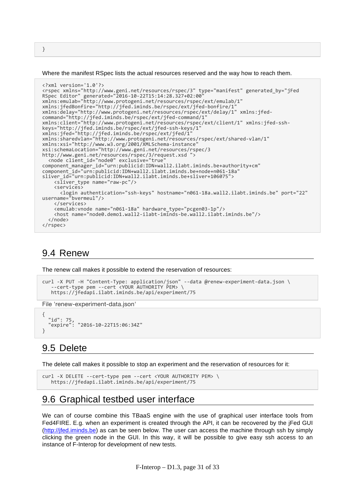Where the manifest RSpec lists the actual resources reserved and the way how to reach them.

```
<?xml version='1.0'?>
<rspec xmlns="http://www.geni.net/resources/rspec/3" type="manifest" generated_by="jFed 
RSpec Editor" generated="2016-10-22T15:14:28.327+02:00" 
xmlns:emulab="http://www.protogeni.net/resources/rspec/ext/emulab/1" 
xmlns:jfedBonfire="http://jfed.iminds.be/rspec/ext/jfed-bonfire/1" 
xmlns:delay="http://www.protogeni.net/resources/rspec/ext/delay/1" xmlns:jfed-
command="http://jfed.iminds.be/rspec/ext/jfed-command/1" 
xmlns:client="http://www.protogeni.net/resources/rspec/ext/client/1" xmlns:jfed-ssh-
keys="http://jfed.iminds.be/rspec/ext/jfed-ssh-keys/1" 
xmlns:jfed="http://jfed.iminds.be/rspec/ext/jfed/1" 
xmlns:sharedvlan="http://www.protogeni.net/resources/rspec/ext/shared-vlan/1" 
xmlns:xsi="http://www.w3.org/2001/XMLSchema-instance" 
xsi:schemaLocation="http://www.geni.net/resources/rspec/3 
http://www.geni.net/resources/rspec/3/request.xsd ">
 <node client_id="node0" exclusive="true" 
component manager id="urn:publicid:IDN+wall2.ilabt.iminds.be+authority+cm"
component_id="urn:publicid:IDN+wall2.ilabt.iminds.be+node+n061-18a" 
sliver_id="urn:publicid:IDN+wall2.ilabt.iminds.be+sliver+106075">
     <sliver_type name="raw-pc"/>
     <services>
 <login authentication="ssh-keys" hostname="n061-18a.wall2.ilabt.iminds.be" port="22" 
username="bvermeul"/>
    </services><br><emulab:vnode name="n061-18a" hardware type="pcgen03-1p"/>
   <host name="node0.demo1.wall2-ilabt-iminds-be.wall2.ilabt.iminds.be"/> </node>
</rspec>
```
### 9.4 Renew

The renew call makes it possible to extend the reservation of resources:

```
curl -X PUT -H "Content-Type: application/json" --data @renew-experiment-data.json \
    --cert-type pem --cert <YOUR AUTHORITY PEM> \
   https://jfedapi.ilabt.iminds.be/api/experiment/75
```
File 'renew-experiment-data.json'

```
{
   "id": 75,
   "expire": "2016-10-22T15:06:34Z"
}
```
### 9.5 Delete

The delete call makes it possible to stop an experiment and the reservation of resources for it:

```
curl -X DELETE --cert-type pem --cert <YOUR AUTHORITY PEM> \
    https://jfedapi.ilabt.iminds.be/api/experiment/75
```
### 9.6 Graphical testbed user interface

We can of course combine this TBaaS engine with the use of graphical user interface tools from Fed4FIRE. E.g. when an experiment is created through the API, it can be recovered by the jFed GUI (http://jfed.iminds.be) as can be seen below. The user can access the machine through ssh by simply clicking the green node in the GUI. In this way, it will be possible to give easy ssh access to an instance of F-Interop for development of new tests.

F-Interop – D1.3, page 31 of 33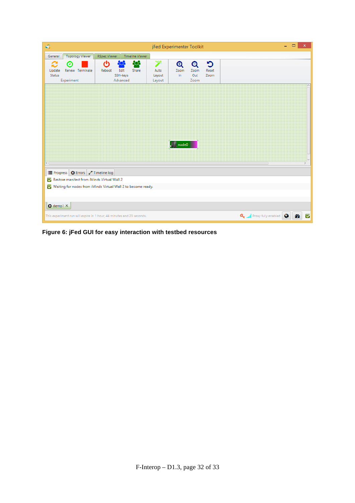| $\triangleleft$<br>×<br>jFed Experimenter Toolkit |                                                                       |                     |                                             |                                |                                            |                          |                    |  |                                            |     |   |
|---------------------------------------------------|-----------------------------------------------------------------------|---------------------|---------------------------------------------|--------------------------------|--------------------------------------------|--------------------------|--------------------|--|--------------------------------------------|-----|---|
| General                                           | <b>Topology Viewer</b>                                                | <b>RSpec Viewer</b> | <b>Timeline Viewer</b>                      |                                |                                            |                          |                    |  |                                            |     |   |
| s<br>Update<br>Status                             | Θ<br>Renew Terminate<br>Experiment                                    | ტ<br>Reboot         | ಹಿ<br>Edit<br>Share<br>SSH-keys<br>Advanced | Ÿ.<br>Auto<br>Layout<br>Layout | $\mathbf{\Theta}$<br>Zoom<br>In            | Q<br>Zoom<br>Out<br>Zoom | Ю<br>Reset<br>Zoom |  |                                            |     |   |
|                                                   |                                                                       |                     |                                             |                                | $\sqrt{\left\  \cdot \right\ }$ , node $0$ |                          |                    |  |                                            |     |   |
|                                                   | Progress <b>O</b> Errors <b>7</b> Timeline log                        |                     |                                             |                                |                                            |                          |                    |  |                                            |     |   |
|                                                   | Restore manifest from iMinds Virtual Wall 2                           |                     |                                             |                                |                                            |                          |                    |  |                                            |     |   |
| $\bullet$ demo1 $\times$                          | Waiting for nodes from iMinds Virtual Wall 2 to become ready.         |                     |                                             |                                |                                            |                          |                    |  |                                            |     |   |
|                                                   | This experiment run will expire in 1 hour, 44 minutes and 23 seconds. |                     |                                             |                                |                                            |                          |                    |  | Q <sub>t </sub>    Proxy fully enabled   Q | ØD. | ⊽ |

**Figure 6: jFed GUI for easy interaction with testbed resources**